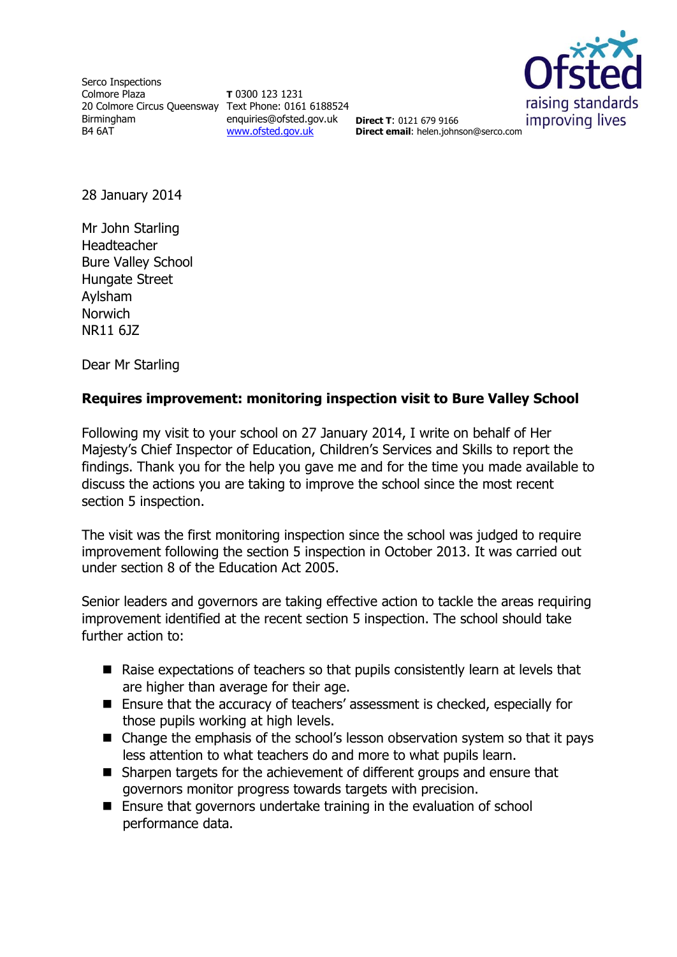Serco Inspections Colmore Plaza 20 Colmore Circus Queensway Text Phone: 0161 6188524 Birmingham B4 6AT

**T** 0300 123 1231 enquiries@ofsted.gov.uk **Direct T**: 0121 679 9166 [www.ofsted.gov.uk](http://www.ofsted.gov.uk/)



**Direct email**: helen.johnson@serco.com

28 January 2014

Mr John Starling Headteacher Bure Valley School Hungate Street Aylsham Norwich NR11 6JZ

Dear Mr Starling

## **Requires improvement: monitoring inspection visit to Bure Valley School**

Following my visit to your school on 27 January 2014, I write on behalf of Her Majesty's Chief Inspector of Education, Children's Services and Skills to report the findings. Thank you for the help you gave me and for the time you made available to discuss the actions you are taking to improve the school since the most recent section 5 inspection.

The visit was the first monitoring inspection since the school was judged to require improvement following the section 5 inspection in October 2013. It was carried out under section 8 of the Education Act 2005.

Senior leaders and governors are taking effective action to tackle the areas requiring improvement identified at the recent section 5 inspection. The school should take further action to:

- Raise expectations of teachers so that pupils consistently learn at levels that are higher than average for their age.
- Ensure that the accuracy of teachers' assessment is checked, especially for those pupils working at high levels.
- Change the emphasis of the school's lesson observation system so that it pays less attention to what teachers do and more to what pupils learn.
- Sharpen targets for the achievement of different groups and ensure that governors monitor progress towards targets with precision.
- Ensure that governors undertake training in the evaluation of school performance data.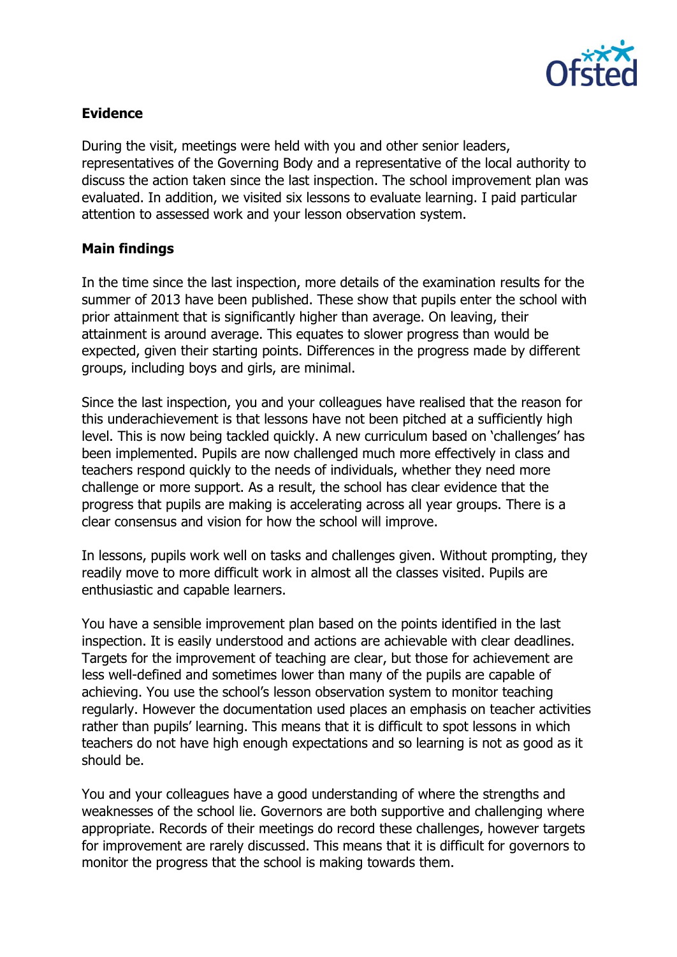

## **Evidence**

During the visit, meetings were held with you and other senior leaders, representatives of the Governing Body and a representative of the local authority to discuss the action taken since the last inspection. The school improvement plan was evaluated. In addition, we visited six lessons to evaluate learning. I paid particular attention to assessed work and your lesson observation system.

## **Main findings**

In the time since the last inspection, more details of the examination results for the summer of 2013 have been published. These show that pupils enter the school with prior attainment that is significantly higher than average. On leaving, their attainment is around average. This equates to slower progress than would be expected, given their starting points. Differences in the progress made by different groups, including boys and girls, are minimal.

Since the last inspection, you and your colleagues have realised that the reason for this underachievement is that lessons have not been pitched at a sufficiently high level. This is now being tackled quickly. A new curriculum based on 'challenges' has been implemented. Pupils are now challenged much more effectively in class and teachers respond quickly to the needs of individuals, whether they need more challenge or more support. As a result, the school has clear evidence that the progress that pupils are making is accelerating across all year groups. There is a clear consensus and vision for how the school will improve.

In lessons, pupils work well on tasks and challenges given. Without prompting, they readily move to more difficult work in almost all the classes visited. Pupils are enthusiastic and capable learners.

You have a sensible improvement plan based on the points identified in the last inspection. It is easily understood and actions are achievable with clear deadlines. Targets for the improvement of teaching are clear, but those for achievement are less well-defined and sometimes lower than many of the pupils are capable of achieving. You use the school's lesson observation system to monitor teaching regularly. However the documentation used places an emphasis on teacher activities rather than pupils' learning. This means that it is difficult to spot lessons in which teachers do not have high enough expectations and so learning is not as good as it should be.

You and your colleagues have a good understanding of where the strengths and weaknesses of the school lie. Governors are both supportive and challenging where appropriate. Records of their meetings do record these challenges, however targets for improvement are rarely discussed. This means that it is difficult for governors to monitor the progress that the school is making towards them.